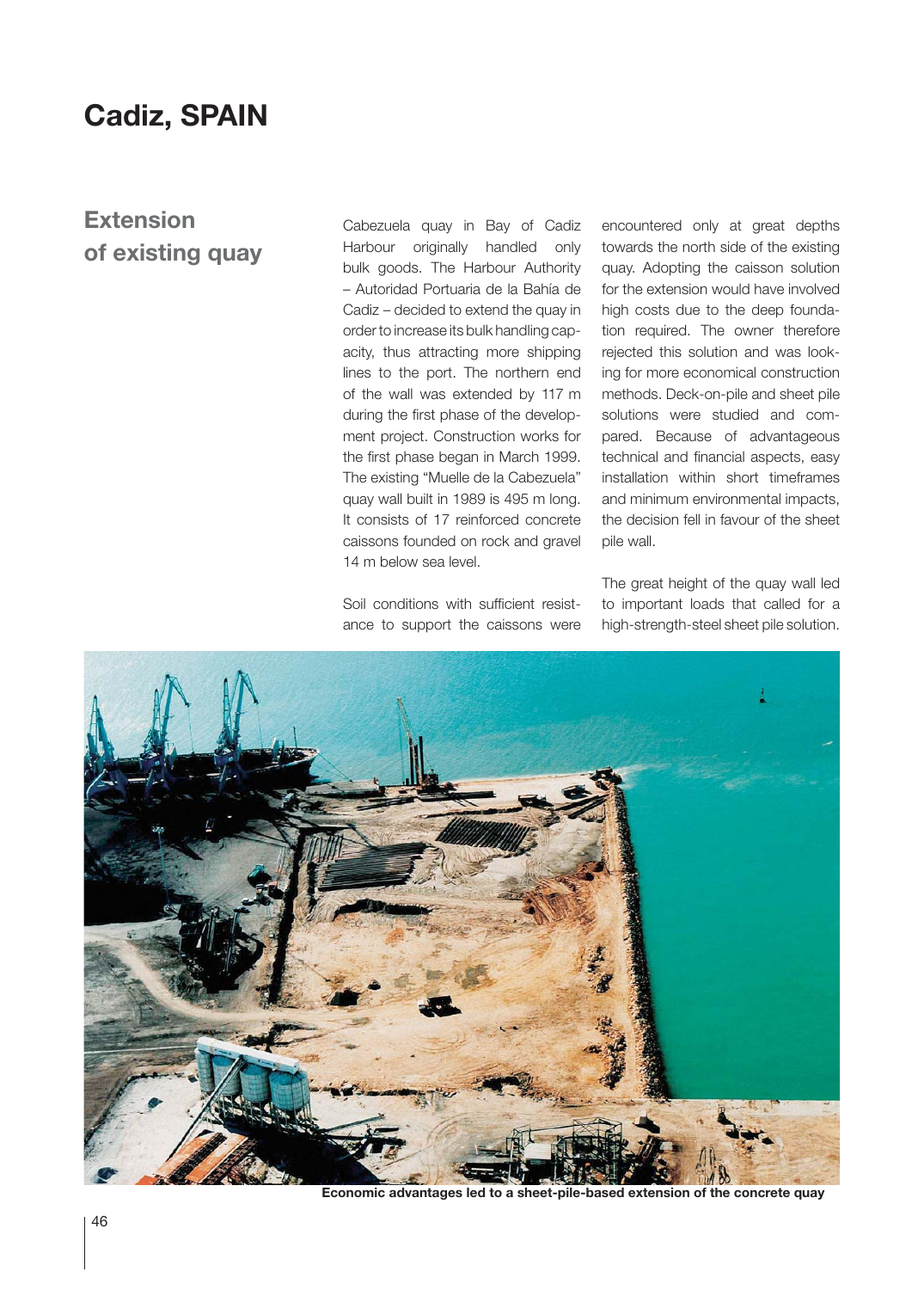## **Cadiz, SPAIN**

## **Extension of existing quay**

Cabezuela quay in Bay of Cadiz Harbour originally handled only bulk goods. The Harbour Authority – Autoridad Portuaria de la Bahía de Cadiz – decided to extend the quay in order to increase its bulk handling capacity, thus attracting more shipping lines to the port. The northern end of the wall was extended by 117 m during the first phase of the development project. Construction works for the first phase began in March 1999. The existing "Muelle de la Cabezuela" quay wall built in 1989 is 495 m long. It consists of 17 reinforced concrete caissons founded on rock and gravel 14 m below sea level.

Soil conditions with sufficient resistance to support the caissons were encountered only at great depths towards the north side of the existing quay. Adopting the caisson solution for the extension would have involved high costs due to the deep foundation required. The owner therefore rejected this solution and was looking for more economical construction methods. Deck-on-pile and sheet pile solutions were studied and compared. Because of advantageous technical and financial aspects, easy installation within short timeframes and minimum environmental impacts, the decision fell in favour of the sheet pile wall.

The great height of the quay wall led to important loads that called for a high-strength-steel sheet pile solution.



**Economic advantages led to a sheet-pile-based extension of the concrete quay**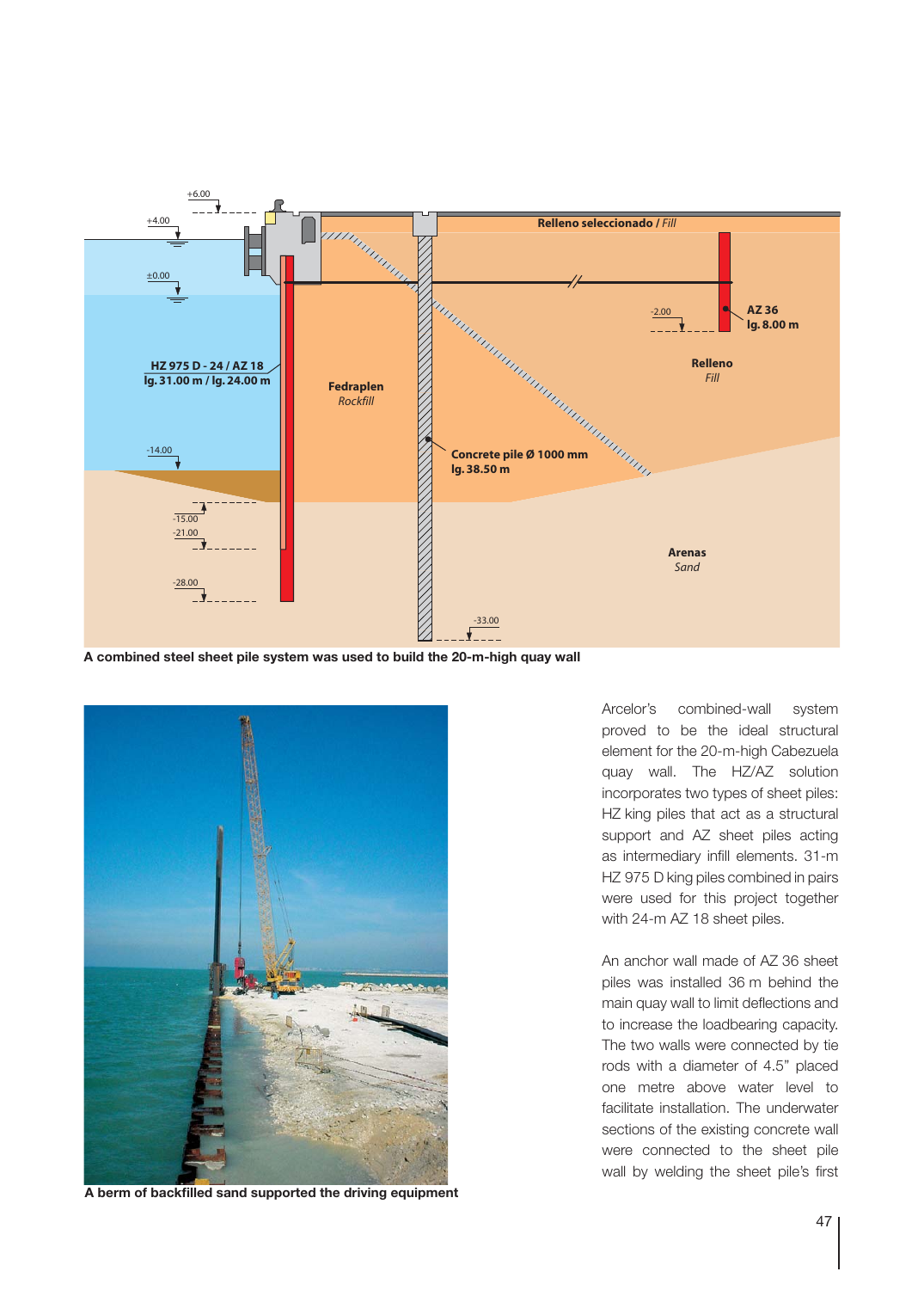

**A combined steel sheet pile system was used to build the 20-m-high quay wall**



**A berm of backfilled sand supported the driving equipment**

Arcelor's combined-wall system proved to be the ideal structural element for the 20-m-high Cabezuela quay wall. The HZ/AZ solution incorporates two types of sheet piles: HZ king piles that act as a structural support and AZ sheet piles acting as intermediary infill elements. 31-m HZ 975 D king piles combined in pairs were used for this project together with 24-m AZ 18 sheet piles.

An anchor wall made of AZ 36 sheet piles was installed 36 m behind the main quay wall to limit deflections and to increase the loadbearing capacity. The two walls were connected by tie rods with a diameter of 4.5" placed one metre above water level to facilitate installation. The underwater sections of the existing concrete wall were connected to the sheet pile wall by welding the sheet pile's first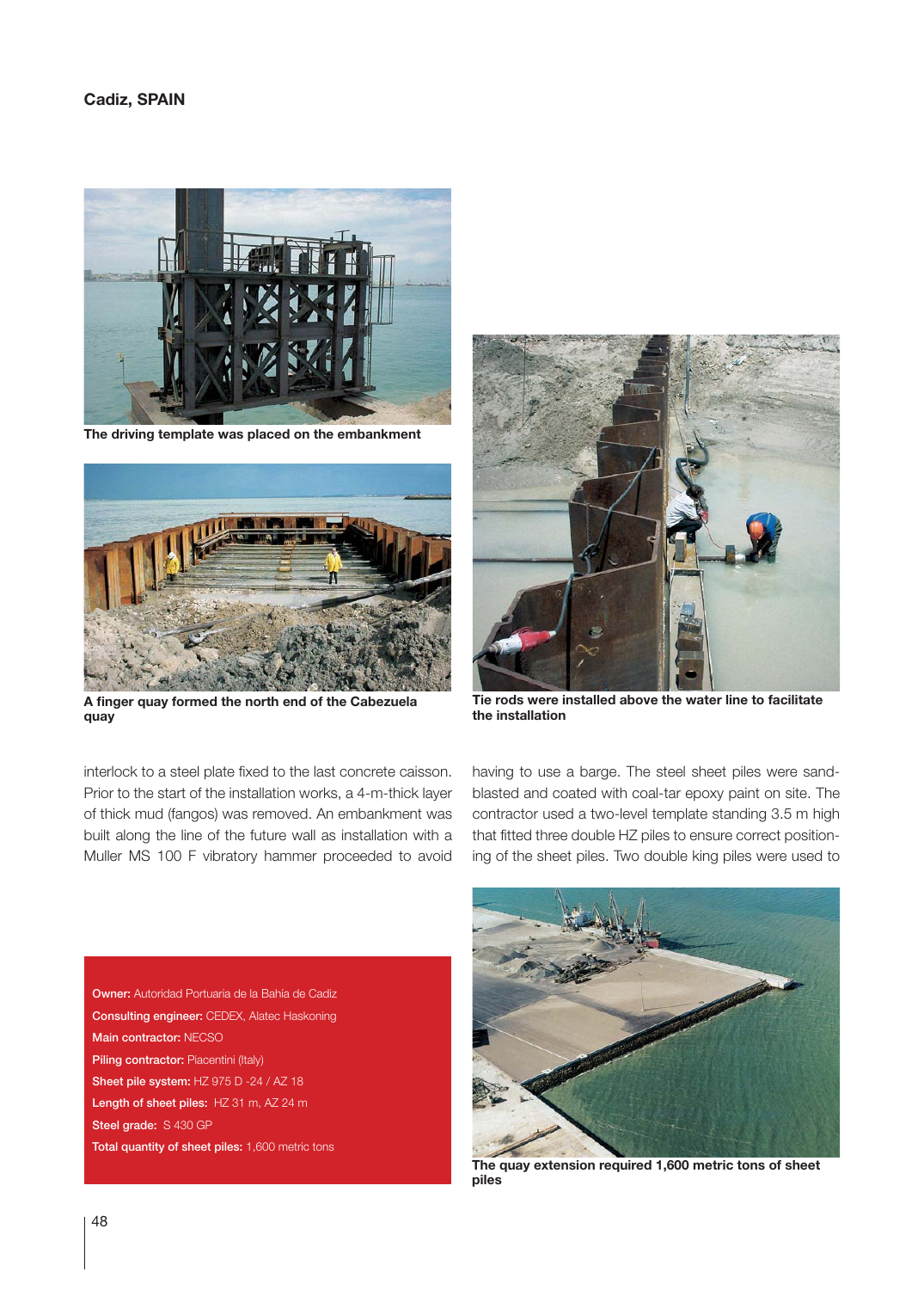

**The driving template was placed on the embankment**



**A finger quay formed the north end of the Cabezuela quay**

interlock to a steel plate fixed to the last concrete caisson. Prior to the start of the installation works, a 4-m-thick layer of thick mud (fangos) was removed. An embankment was built along the line of the future wall as installation with a Muller MS 100 F vibratory hammer proceeded to avoid



**Tie rods were installed above the water line to facilitate the installation**

having to use a barge. The steel sheet piles were sandblasted and coated with coal-tar epoxy paint on site. The contractor used a two-level template standing 3.5 m high that fitted three double HZ piles to ensure correct positioning of the sheet piles. Two double king piles were used to

Owner: Autoridad Portuaria de la Bahía de Cadiz Consulting engineer: CEDEX, Alatec Haskoning Main contractor: NECSO Piling contractor: Piacentini (Italy) Sheet pile system: HZ 975 D -24 / AZ 18 Length of sheet piles: HZ 31 m, AZ 24 m Steel grade: S 430 GP Total quantity of sheet piles: 1,600 metric tons



**The quay extension required 1,600 metric tons of sheet piles**